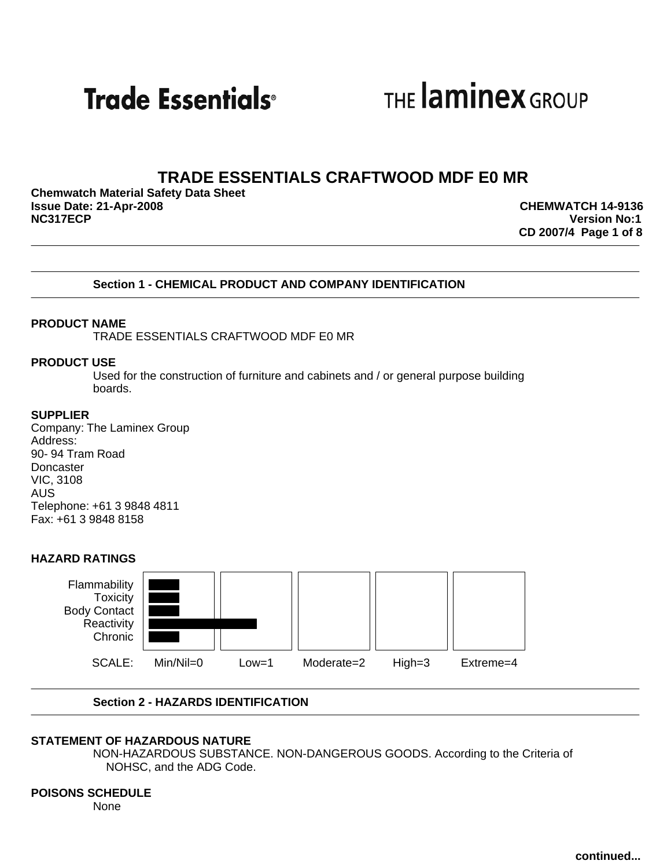**Trade Essentials**<sup>®</sup>

THE **laminex** GROUP

# **TRADE ESSENTIALS CRAFTWOOD MDF E0 MR**

**Chemwatch Material Safety Data Sheet Issue Date: 21-Apr-2008 CHEMWATCH 14-9136**

**Version No:1 CD 2007/4 Page 1 of 8**

### **Section 1 - CHEMICAL PRODUCT AND COMPANY IDENTIFICATION**

#### **PRODUCT NAME**

TRADE ESSENTIALS CRAFTWOOD MDF E0 MR

#### **PRODUCT USE**

Used for the construction of furniture and cabinets and / or general purpose building boards.

#### **SUPPLIER**

Company: The Laminex Group Address: 90- 94 Tram Road **Doncaster** VIC, 3108 AUS Telephone: +61 3 9848 4811 Fax: +61 3 9848 8158

#### **HAZARD RATINGS**



### **Section 2 - HAZARDS IDENTIFICATION**

#### **STATEMENT OF HAZARDOUS NATURE**

NON-HAZARDOUS SUBSTANCE. NON-DANGEROUS GOODS. According to the Criteria of NOHSC, and the ADG Code.

# **POISONS SCHEDULE**

None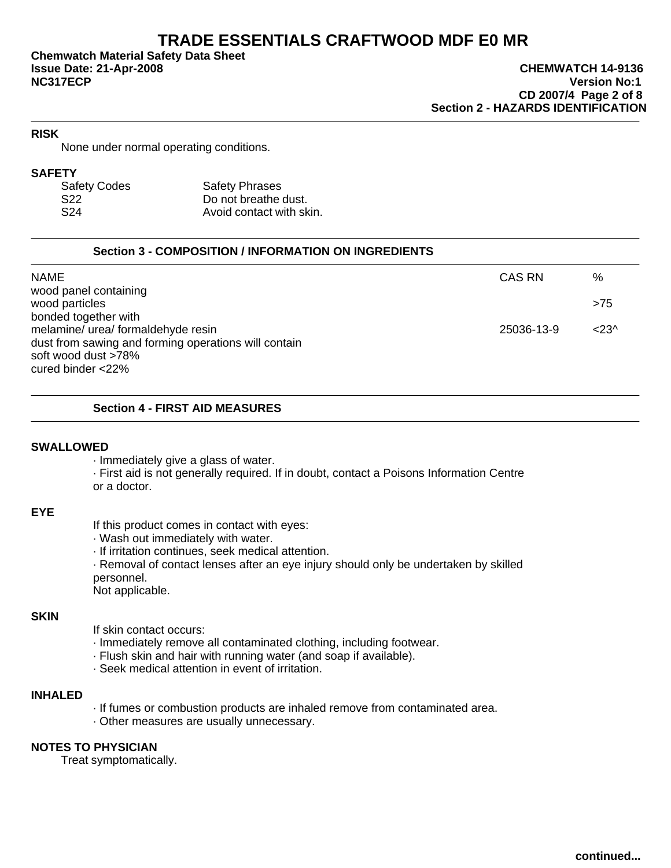**Chemwatch Material Safety Data Sheet NC317ECP Version No:1**

# **RISK**

None under normal operating conditions.

#### **SAFETY**

| <b>Safety Codes</b> | <b>Safety Phrases</b>    |
|---------------------|--------------------------|
| S <sub>22</sub>     | Do not breathe dust.     |
| S <sub>24</sub>     | Avoid contact with skin. |

# **Section 3 - COMPOSITION / INFORMATION ON INGREDIENTS**

| <b>NAME</b>                                          | CAS RN     | %                 |
|------------------------------------------------------|------------|-------------------|
| wood panel containing                                |            |                   |
| wood particles                                       |            | >75               |
| bonded together with                                 |            |                   |
| melamine/ urea/ formaldehyde resin                   | 25036-13-9 | < 23 <sup>0</sup> |
| dust from sawing and forming operations will contain |            |                   |
| soft wood dust >78%                                  |            |                   |
| cured binder $<$ 22%                                 |            |                   |

### **Section 4 - FIRST AID MEASURES**

#### **SWALLOWED**

· Immediately give a glass of water.

· First aid is not generally required. If in doubt, contact a Poisons Information Centre or a doctor.

#### **EYE**

If this product comes in contact with eyes:

- · Wash out immediately with water.
- · If irritation continues, seek medical attention.
- · Removal of contact lenses after an eye injury should only be undertaken by skilled personnel.

Not applicable.

#### **SKIN**

If skin contact occurs:

- · Immediately remove all contaminated clothing, including footwear.
- · Flush skin and hair with running water (and soap if available).
- · Seek medical attention in event of irritation.

#### **INHALED**

- · If fumes or combustion products are inhaled remove from contaminated area.
- · Other measures are usually unnecessary.

# **NOTES TO PHYSICIAN**

Treat symptomatically.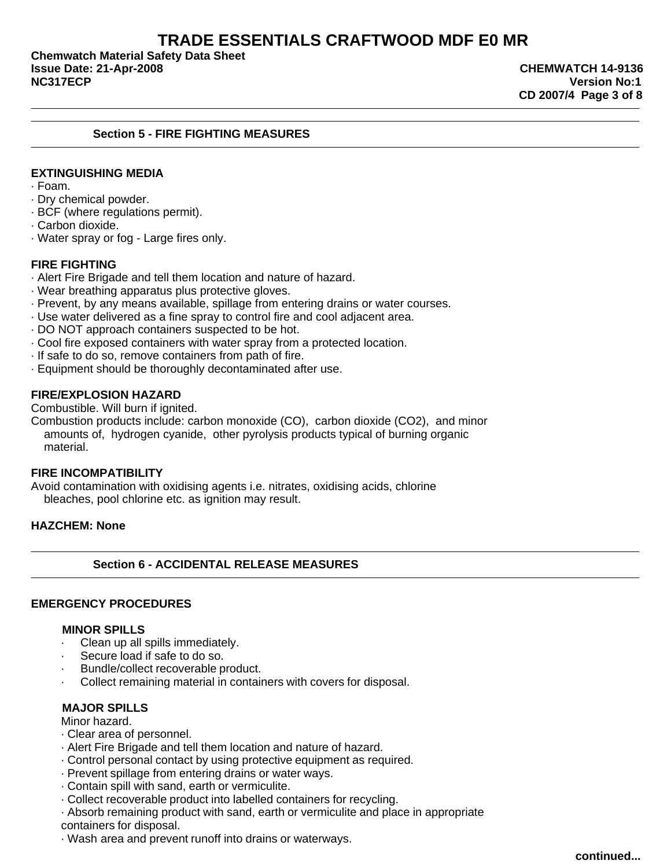**Chemwatch Material Safety Data Sheet Issue Date: 21-Apr-2008 CHEMWATCH 14-9136 NC317ECP Version No:1**

### **Section 5 - FIRE FIGHTING MEASURES**

# **EXTINGUISHING MEDIA**

· Foam.

- · Dry chemical powder.
- · BCF (where regulations permit).
- · Carbon dioxide.
- · Water spray or fog Large fires only.

### **FIRE FIGHTING**

- · Alert Fire Brigade and tell them location and nature of hazard.
- · Wear breathing apparatus plus protective gloves.
- · Prevent, by any means available, spillage from entering drains or water courses.
- · Use water delivered as a fine spray to control fire and cool adjacent area.
- · DO NOT approach containers suspected to be hot.
- · Cool fire exposed containers with water spray from a protected location.
- · If safe to do so, remove containers from path of fire.
- · Equipment should be thoroughly decontaminated after use.

#### **FIRE/EXPLOSION HAZARD**

Combustible. Will burn if ignited.

Combustion products include: carbon monoxide (CO), carbon dioxide (CO2), and minor amounts of, hydrogen cyanide, other pyrolysis products typical of burning organic material.

### **FIRE INCOMPATIBILITY**

Avoid contamination with oxidising agents i.e. nitrates, oxidising acids, chlorine bleaches, pool chlorine etc. as ignition may result.

### **HAZCHEM: None**

#### **Section 6 - ACCIDENTAL RELEASE MEASURES**

# **EMERGENCY PROCEDURES**

#### **MINOR SPILLS**

- · Clean up all spills immediately.
- Secure load if safe to do so.
- Bundle/collect recoverable product.
- Collect remaining material in containers with covers for disposal.

#### **MAJOR SPILLS**

Minor hazard.

- · Clear area of personnel.
- · Alert Fire Brigade and tell them location and nature of hazard.
- · Control personal contact by using protective equipment as required.
- · Prevent spillage from entering drains or water ways.
- · Contain spill with sand, earth or vermiculite.
- · Collect recoverable product into labelled containers for recycling.

· Absorb remaining product with sand, earth or vermiculite and place in appropriate containers for disposal.

· Wash area and prevent runoff into drains or waterways.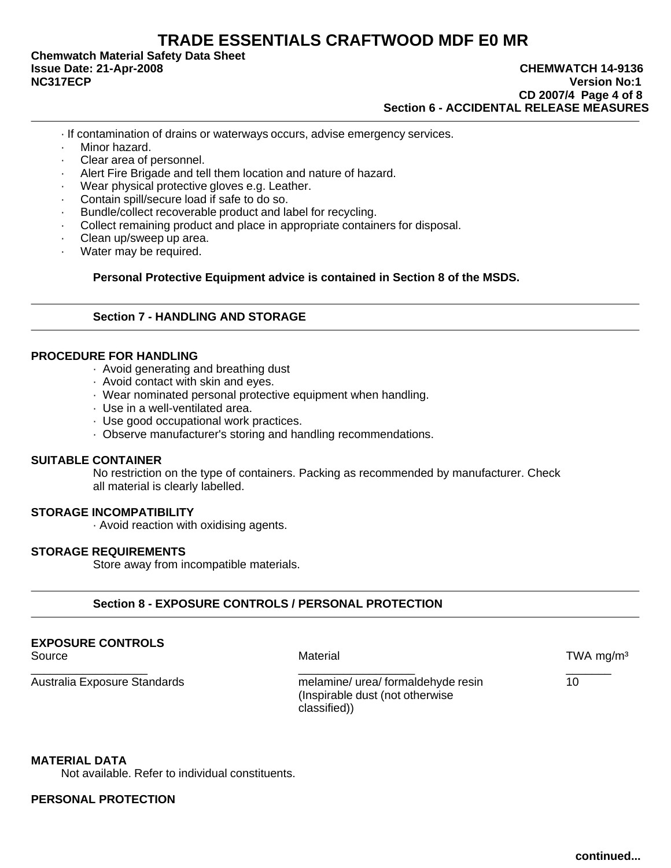**Chemwatch Material Safety Data Sheet**

- · If contamination of drains or waterways occurs, advise emergency services.
- · Minor hazard.
- Clear area of personnel.
- · Alert Fire Brigade and tell them location and nature of hazard.
- Wear physical protective gloves e.g. Leather.
- Contain spill/secure load if safe to do so.
- Bundle/collect recoverable product and label for recycling.
- Collect remaining product and place in appropriate containers for disposal.
- · Clean up/sweep up area.
- Water may be required.

**Personal Protective Equipment advice is contained in Section 8 of the MSDS.**

# **Section 7 - HANDLING AND STORAGE**

#### **PROCEDURE FOR HANDLING**

- · Avoid generating and breathing dust
- · Avoid contact with skin and eyes.
- · Wear nominated personal protective equipment when handling.
- · Use in a well-ventilated area.
- · Use good occupational work practices.
- · Observe manufacturer's storing and handling recommendations.

#### **SUITABLE CONTAINER**

No restriction on the type of containers. Packing as recommended by manufacturer. Check all material is clearly labelled.

# **STORAGE INCOMPATIBILITY**

· Avoid reaction with oxidising agents.

#### **STORAGE REQUIREMENTS**

Store away from incompatible materials.

### **Section 8 - EXPOSURE CONTROLS / PERSONAL PROTECTION**

#### **EXPOSURE CONTROLS**

Source **Material** Material Control of the Material Source of the Material Control of the Material Control of the Material Control of the Material Control of the Material Control of the Material Control of the Material Cont

Australia Exposure Standards melamine/ urea/ formaldehyde resin 10 (Inspirable dust (not otherwise classified))

\_\_\_\_\_\_\_\_\_\_\_\_\_\_\_\_\_\_ \_\_\_\_\_\_\_\_\_\_\_\_\_\_\_\_\_\_ \_\_\_\_\_\_\_

**MATERIAL DATA**

Not available. Refer to individual constituents.

#### **PERSONAL PROTECTION**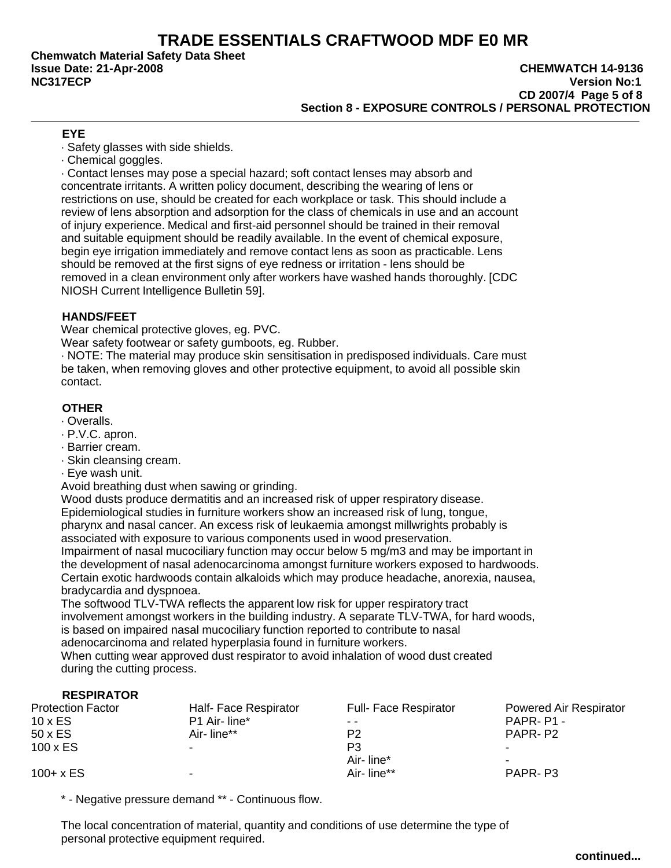**Chemwatch Material Safety Data Sheet**

### **Issue Date: 21-Apr-2008 CHEMWATCH 14-9136 NC317ECP Version No:1 CD 2007/4 Page 5 of 8 Section 8 - EXPOSURE CONTROLS / PERSONAL PROTECTION**

# **EYE**

· Safety glasses with side shields.

· Chemical goggles.

· Contact lenses may pose a special hazard; soft contact lenses may absorb and concentrate irritants. A written policy document, describing the wearing of lens or restrictions on use, should be created for each workplace or task. This should include a review of lens absorption and adsorption for the class of chemicals in use and an account of injury experience. Medical and first-aid personnel should be trained in their removal and suitable equipment should be readily available. In the event of chemical exposure, begin eye irrigation immediately and remove contact lens as soon as practicable. Lens should be removed at the first signs of eye redness or irritation - lens should be removed in a clean environment only after workers have washed hands thoroughly. [CDC NIOSH Current Intelligence Bulletin 59].

# **HANDS/FEET**

Wear chemical protective gloves, eg. PVC.

Wear safety footwear or safety gumboots, eg. Rubber.

· NOTE: The material may produce skin sensitisation in predisposed individuals. Care must be taken, when removing gloves and other protective equipment, to avoid all possible skin contact.

# **OTHER**

- · Overalls.
- · P.V.C. apron.
- · Barrier cream.
- · Skin cleansing cream.
- · Eye wash unit.

Avoid breathing dust when sawing or grinding.

Wood dusts produce dermatitis and an increased risk of upper respiratory disease.

Epidemiological studies in furniture workers show an increased risk of lung, tongue, pharynx and nasal cancer. An excess risk of leukaemia amongst millwrights probably is associated with exposure to various components used in wood preservation.

Impairment of nasal mucociliary function may occur below 5 mg/m3 and may be important in the development of nasal adenocarcinoma amongst furniture workers exposed to hardwoods. Certain exotic hardwoods contain alkaloids which may produce headache, anorexia, nausea, bradycardia and dyspnoea.

The softwood TLV-TWA reflects the apparent low risk for upper respiratory tract involvement amongst workers in the building industry. A separate TLV-TWA, for hard woods, is based on impaired nasal mucociliary function reported to contribute to nasal adenocarcinoma and related hyperplasia found in furniture workers.

When cutting wear approved dust respirator to avoid inhalation of wood dust created during the cutting process.

# **RESPIRATOR**

| <b>Protection Factor</b> | Half- Face Respirator | <b>Full- Face Respirator</b> | Powered Air Respirator |
|--------------------------|-----------------------|------------------------------|------------------------|
| $10 \times ES$           | P1 Air-line*          | $ -$                         | PAPR-P1-               |
| 50 x ES                  | Air-line**            | P2                           | PAPR-P2                |
| $100 \times ES$          |                       | P3                           | -                      |
|                          |                       | Air-line*                    | $\sim$                 |
| $100 + x ES$             |                       | Air-line**                   | PAPR-P3                |

\* - Negative pressure demand \*\* - Continuous flow.

The local concentration of material, quantity and conditions of use determine the type of personal protective equipment required.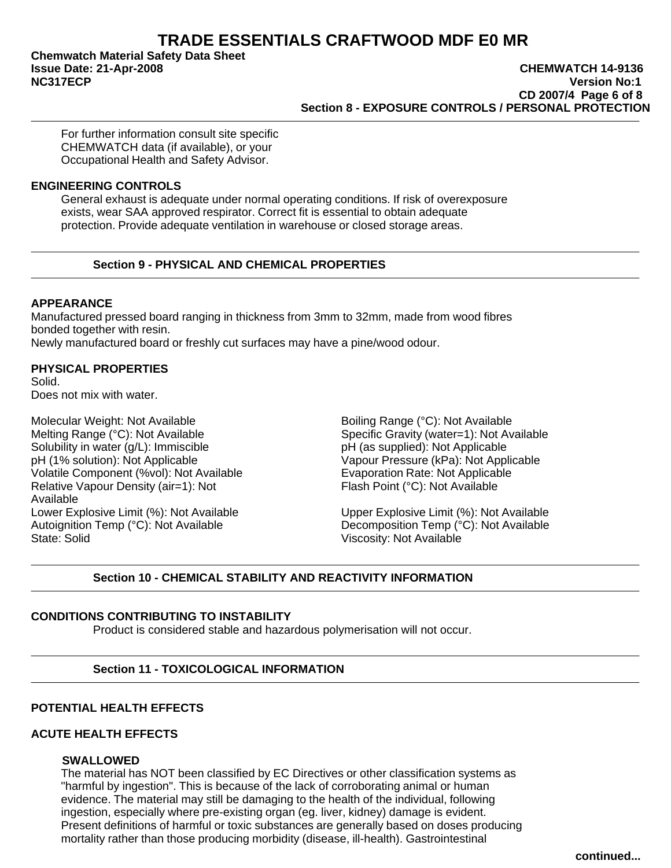**Chemwatch Material Safety Data Sheet**

#### **Issue Date: 21-Apr-2008 CHEMWATCH 14-9136 NC317ECP Version No:1 CD 2007/4 Page 6 of 8 Section 8 - EXPOSURE CONTROLS / PERSONAL PROTECTION**

For further information consult site specific CHEMWATCH data (if available), or your Occupational Health and Safety Advisor.

#### **ENGINEERING CONTROLS**

General exhaust is adequate under normal operating conditions. If risk of overexposure exists, wear SAA approved respirator. Correct fit is essential to obtain adequate protection. Provide adequate ventilation in warehouse or closed storage areas.

# **Section 9 - PHYSICAL AND CHEMICAL PROPERTIES**

# **APPEARANCE**

Manufactured pressed board ranging in thickness from 3mm to 32mm, made from wood fibres bonded together with resin. Newly manufactured board or freshly cut surfaces may have a pine/wood odour.

# **PHYSICAL PROPERTIES**

Solid. Does not mix with water.

Molecular Weight: Not Available **Boiling Range (°C): Not Available** Boiling Range (°C): Not Available Melting Range (°C): Not Available<br>
Solubility in water (q/L): Immiscible<br>
Solubility in water (q/L): Immiscible<br>
Solubility in water (q/L): Immiscible Solubility in water  $(g/L)$ : Immiscible pH (1% solution): Not Applicable Vapour Pressure (kPa): Not Applicable Volatile Component (%vol): Not Available <br>
Relative Vapour Density (air=1): Not **Election Contract Prime Flash Point (°C): Not Available** Relative Vapour Density (air=1): Not Available Lower Explosive Limit (%): Not Available Upper Explosive Limit (%): Not Available Autoignition Temp (°C): Not Available Autoignition Temp (°C): Not Available State: Solid Viscosity: Not Available

Decomposition Temp (°C): Not Available

# **Section 10 - CHEMICAL STABILITY AND REACTIVITY INFORMATION**

# **CONDITIONS CONTRIBUTING TO INSTABILITY**

Product is considered stable and hazardous polymerisation will not occur.

# **Section 11 - TOXICOLOGICAL INFORMATION**

# **POTENTIAL HEALTH EFFECTS**

# **ACUTE HEALTH EFFECTS**

# **SWALLOWED**

The material has NOT been classified by EC Directives or other classification systems as "harmful by ingestion". This is because of the lack of corroborating animal or human evidence. The material may still be damaging to the health of the individual, following ingestion, especially where pre-existing organ (eg. liver, kidney) damage is evident. Present definitions of harmful or toxic substances are generally based on doses producing mortality rather than those producing morbidity (disease, ill-health). Gastrointestinal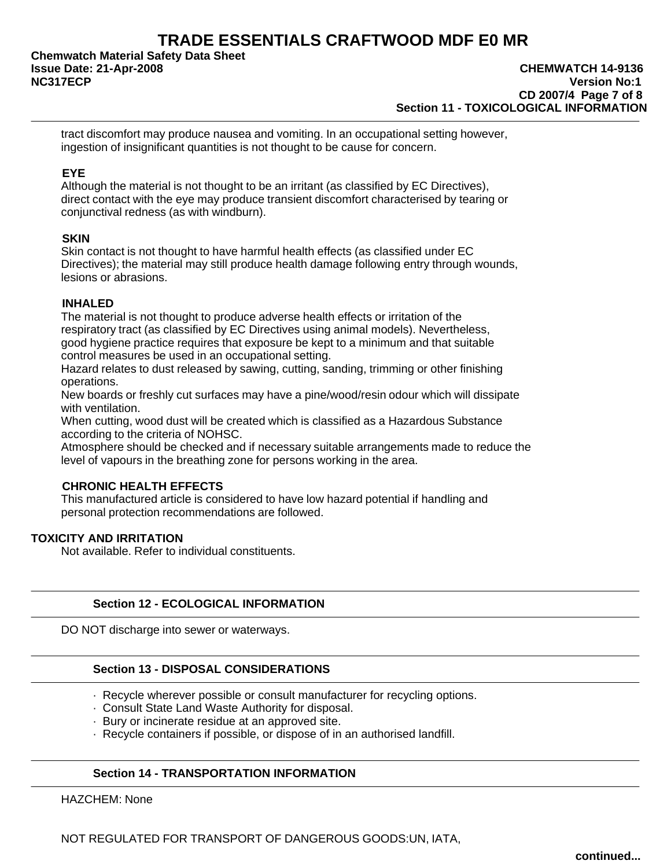**Chemwatch Material Safety Data Sheet**

tract discomfort may produce nausea and vomiting. In an occupational setting however, ingestion of insignificant quantities is not thought to be cause for concern.

# **EYE**

Although the material is not thought to be an irritant (as classified by EC Directives), direct contact with the eye may produce transient discomfort characterised by tearing or conjunctival redness (as with windburn).

# **SKIN**

Skin contact is not thought to have harmful health effects (as classified under EC Directives); the material may still produce health damage following entry through wounds, lesions or abrasions.

# **INHALED**

The material is not thought to produce adverse health effects or irritation of the respiratory tract (as classified by EC Directives using animal models). Nevertheless, good hygiene practice requires that exposure be kept to a minimum and that suitable control measures be used in an occupational setting.

Hazard relates to dust released by sawing, cutting, sanding, trimming or other finishing operations.

New boards or freshly cut surfaces may have a pine/wood/resin odour which will dissipate with ventilation.

When cutting, wood dust will be created which is classified as a Hazardous Substance according to the criteria of NOHSC.

Atmosphere should be checked and if necessary suitable arrangements made to reduce the level of vapours in the breathing zone for persons working in the area.

# **CHRONIC HEALTH EFFECTS**

This manufactured article is considered to have low hazard potential if handling and personal protection recommendations are followed.

# **TOXICITY AND IRRITATION**

Not available. Refer to individual constituents.

# **Section 12 - ECOLOGICAL INFORMATION**

DO NOT discharge into sewer or waterways.

# **Section 13 - DISPOSAL CONSIDERATIONS**

- · Recycle wherever possible or consult manufacturer for recycling options.
- · Consult State Land Waste Authority for disposal.
- · Bury or incinerate residue at an approved site.
- · Recycle containers if possible, or dispose of in an authorised landfill.

# **Section 14 - TRANSPORTATION INFORMATION**

HAZCHEM: None

NOT REGULATED FOR TRANSPORT OF DANGEROUS GOODS:UN, IATA,